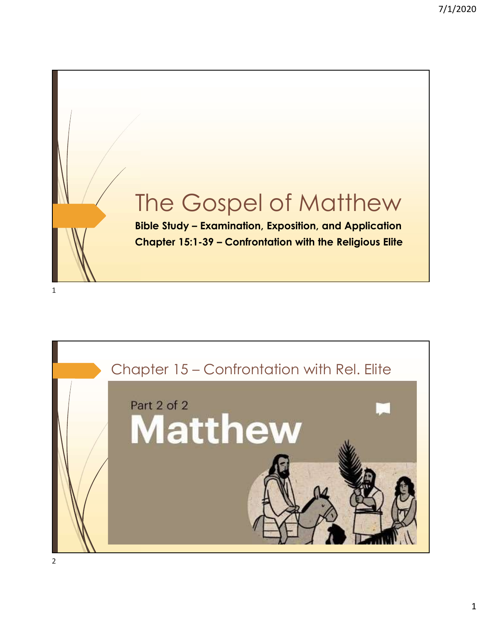

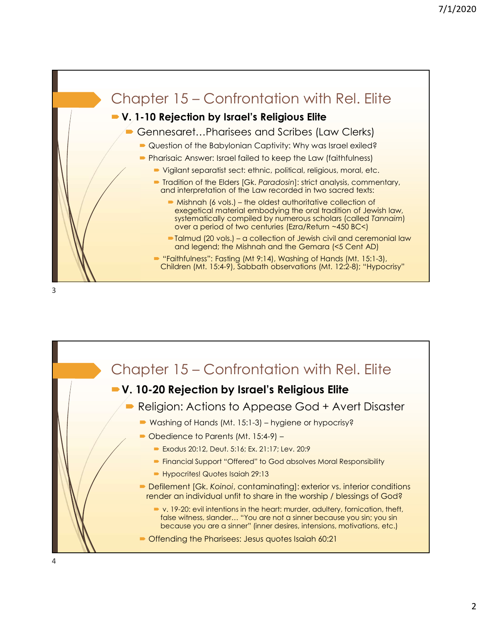